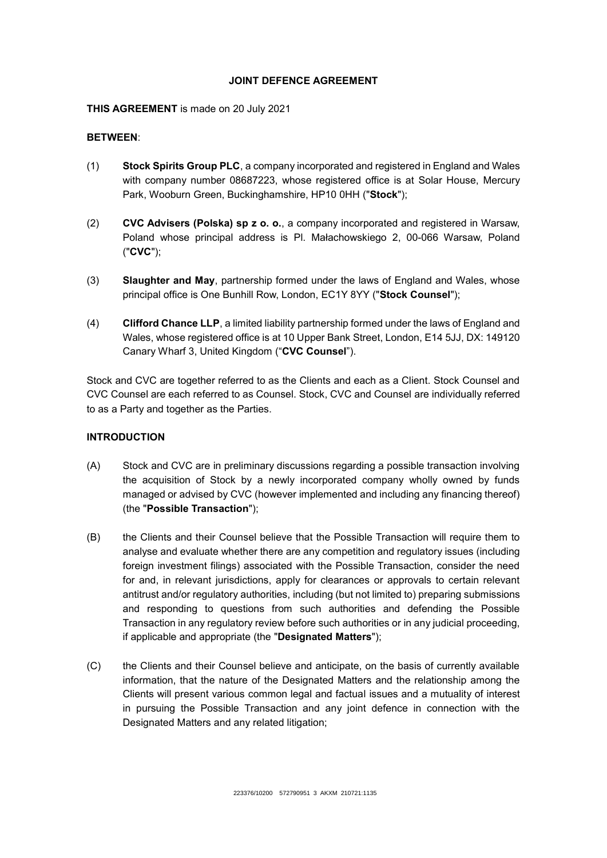#### **JOINT DEFENCE AGREEMENT**

#### **THIS AGREEMENT** is made on 20 July 2021

#### **BETWEEN**:

- (1) **Stock Spirits Group PLC**, a company incorporated and registered in England and Wales with company number 08687223, whose registered office is at Solar House, Mercury Park, Wooburn Green, Buckinghamshire, HP10 0HH ("**Stock**");
- (2) **CVC Advisers (Polska) sp z o. o.**, a company incorporated and registered in Warsaw, Poland whose principal address is Pl. Małachowskiego 2, 00-066 Warsaw, Poland ("**CVC**");
- (3) **Slaughter and May**, partnership formed under the laws of England and Wales, whose principal office is One Bunhill Row, London, EC1Y 8YY ("**Stock Counsel**");
- (4) **Clifford Chance LLP**, a limited liability partnership formed under the laws of England and Wales, whose registered office is at 10 Upper Bank Street, London, E14 5JJ, DX: 149120 Canary Wharf 3, United Kingdom ("**CVC Counsel**").

Stock and CVC are together referred to as the Clients and each as a Client. Stock Counsel and CVC Counsel are each referred to as Counsel. Stock, CVC and Counsel are individually referred to as a Party and together as the Parties.

## **INTRODUCTION**

- (A) Stock and CVC are in preliminary discussions regarding a possible transaction involving the acquisition of Stock by a newly incorporated company wholly owned by funds managed or advised by CVC (however implemented and including any financing thereof) (the "**Possible Transaction**");
- (B) the Clients and their Counsel believe that the Possible Transaction will require them to analyse and evaluate whether there are any competition and regulatory issues (including foreign investment filings) associated with the Possible Transaction, consider the need for and, in relevant jurisdictions, apply for clearances or approvals to certain relevant antitrust and/or regulatory authorities, including (but not limited to) preparing submissions and responding to questions from such authorities and defending the Possible Transaction in any regulatory review before such authorities or in any judicial proceeding, if applicable and appropriate (the "**Designated Matters**");
- (C) the Clients and their Counsel believe and anticipate, on the basis of currently available information, that the nature of the Designated Matters and the relationship among the Clients will present various common legal and factual issues and a mutuality of interest in pursuing the Possible Transaction and any joint defence in connection with the Designated Matters and any related litigation;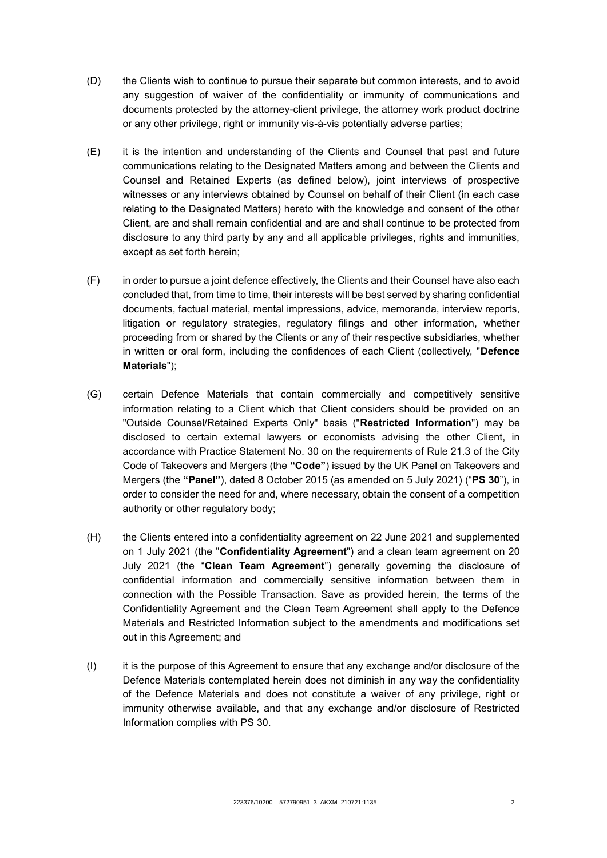- (D) the Clients wish to continue to pursue their separate but common interests, and to avoid any suggestion of waiver of the confidentiality or immunity of communications and documents protected by the attorney-client privilege, the attorney work product doctrine or any other privilege, right or immunity vis-à-vis potentially adverse parties;
- (E) it is the intention and understanding of the Clients and Counsel that past and future communications relating to the Designated Matters among and between the Clients and Counsel and Retained Experts (as defined below), joint interviews of prospective witnesses or any interviews obtained by Counsel on behalf of their Client (in each case relating to the Designated Matters) hereto with the knowledge and consent of the other Client, are and shall remain confidential and are and shall continue to be protected from disclosure to any third party by any and all applicable privileges, rights and immunities, except as set forth herein;
- (F) in order to pursue a joint defence effectively, the Clients and their Counsel have also each concluded that, from time to time, their interests will be best served by sharing confidential documents, factual material, mental impressions, advice, memoranda, interview reports, litigation or regulatory strategies, regulatory filings and other information, whether proceeding from or shared by the Clients or any of their respective subsidiaries, whether in written or oral form, including the confidences of each Client (collectively, "**Defence Materials**");
- (G) certain Defence Materials that contain commercially and competitively sensitive information relating to a Client which that Client considers should be provided on an "Outside Counsel/Retained Experts Only" basis ("**Restricted Information**") may be disclosed to certain external lawyers or economists advising the other Client, in accordance with Practice Statement No. 30 on the requirements of Rule 21.3 of the City Code of Takeovers and Mergers (the **"Code"**) issued by the UK Panel on Takeovers and Mergers (the **"Panel"**), dated 8 October 2015 (as amended on 5 July 2021) ("**PS 30**"), in order to consider the need for and, where necessary, obtain the consent of a competition authority or other regulatory body;
- (H) the Clients entered into a confidentiality agreement on 22 June 2021 and supplemented on 1 July 2021 (the "**Confidentiality Agreement**") and a clean team agreement on 20 July 2021 (the "**Clean Team Agreement**") generally governing the disclosure of confidential information and commercially sensitive information between them in connection with the Possible Transaction. Save as provided herein, the terms of the Confidentiality Agreement and the Clean Team Agreement shall apply to the Defence Materials and Restricted Information subject to the amendments and modifications set out in this Agreement; and
- (I) it is the purpose of this Agreement to ensure that any exchange and/or disclosure of the Defence Materials contemplated herein does not diminish in any way the confidentiality of the Defence Materials and does not constitute a waiver of any privilege, right or immunity otherwise available, and that any exchange and/or disclosure of Restricted Information complies with PS 30.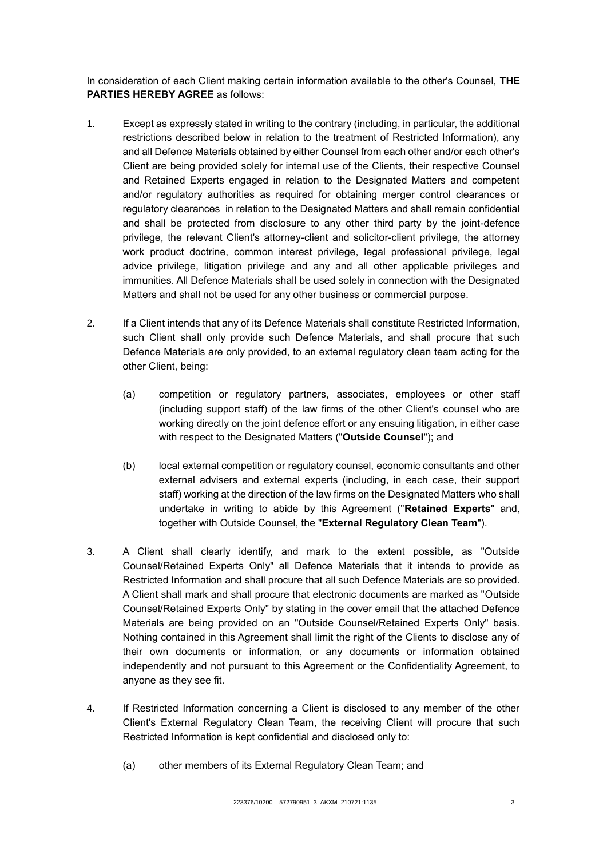In consideration of each Client making certain information available to the other's Counsel, **THE PARTIES HEREBY AGREE** as follows:

- 1. Except as expressly stated in writing to the contrary (including, in particular, the additional restrictions described below in relation to the treatment of Restricted Information), any and all Defence Materials obtained by either Counsel from each other and/or each other's Client are being provided solely for internal use of the Clients, their respective Counsel and Retained Experts engaged in relation to the Designated Matters and competent and/or regulatory authorities as required for obtaining merger control clearances or regulatory clearances in relation to the Designated Matters and shall remain confidential and shall be protected from disclosure to any other third party by the joint-defence privilege, the relevant Client's attorney-client and solicitor-client privilege, the attorney work product doctrine, common interest privilege, legal professional privilege, legal advice privilege, litigation privilege and any and all other applicable privileges and immunities. All Defence Materials shall be used solely in connection with the Designated Matters and shall not be used for any other business or commercial purpose.
- 2. If a Client intends that any of its Defence Materials shall constitute Restricted Information, such Client shall only provide such Defence Materials, and shall procure that such Defence Materials are only provided, to an external regulatory clean team acting for the other Client, being:
	- (a) competition or regulatory partners, associates, employees or other staff (including support staff) of the law firms of the other Client's counsel who are working directly on the joint defence effort or any ensuing litigation, in either case with respect to the Designated Matters ("**Outside Counsel**"); and
	- (b) local external competition or regulatory counsel, economic consultants and other external advisers and external experts (including, in each case, their support staff) working at the direction of the law firms on the Designated Matters who shall undertake in writing to abide by this Agreement ("**Retained Experts**" and, together with Outside Counsel, the "**External Regulatory Clean Team**").
- 3. A Client shall clearly identify, and mark to the extent possible, as "Outside Counsel/Retained Experts Only" all Defence Materials that it intends to provide as Restricted Information and shall procure that all such Defence Materials are so provided. A Client shall mark and shall procure that electronic documents are marked as "Outside Counsel/Retained Experts Only" by stating in the cover email that the attached Defence Materials are being provided on an "Outside Counsel/Retained Experts Only" basis. Nothing contained in this Agreement shall limit the right of the Clients to disclose any of their own documents or information, or any documents or information obtained independently and not pursuant to this Agreement or the Confidentiality Agreement, to anyone as they see fit.
- 4. If Restricted Information concerning a Client is disclosed to any member of the other Client's External Regulatory Clean Team, the receiving Client will procure that such Restricted Information is kept confidential and disclosed only to:
	- (a) other members of its External Regulatory Clean Team; and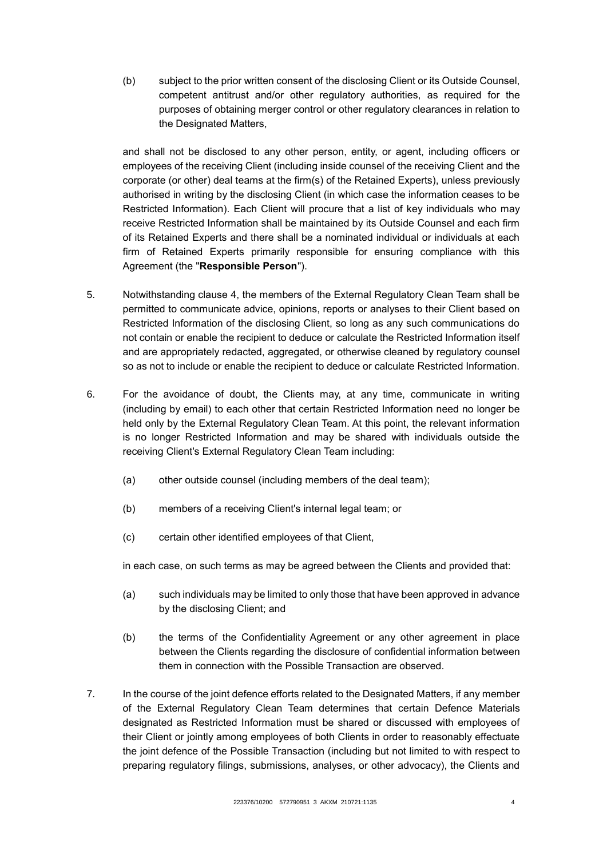(b) subject to the prior written consent of the disclosing Client or its Outside Counsel, competent antitrust and/or other regulatory authorities, as required for the purposes of obtaining merger control or other regulatory clearances in relation to the Designated Matters,

and shall not be disclosed to any other person, entity, or agent, including officers or employees of the receiving Client (including inside counsel of the receiving Client and the corporate (or other) deal teams at the firm(s) of the Retained Experts), unless previously authorised in writing by the disclosing Client (in which case the information ceases to be Restricted Information). Each Client will procure that a list of key individuals who may receive Restricted Information shall be maintained by its Outside Counsel and each firm of its Retained Experts and there shall be a nominated individual or individuals at each firm of Retained Experts primarily responsible for ensuring compliance with this Agreement (the "**Responsible Person**").

- 5. Notwithstanding clause 4, the members of the External Regulatory Clean Team shall be permitted to communicate advice, opinions, reports or analyses to their Client based on Restricted Information of the disclosing Client, so long as any such communications do not contain or enable the recipient to deduce or calculate the Restricted Information itself and are appropriately redacted, aggregated, or otherwise cleaned by regulatory counsel so as not to include or enable the recipient to deduce or calculate Restricted Information.
- 6. For the avoidance of doubt, the Clients may, at any time, communicate in writing (including by email) to each other that certain Restricted Information need no longer be held only by the External Regulatory Clean Team. At this point, the relevant information is no longer Restricted Information and may be shared with individuals outside the receiving Client's External Regulatory Clean Team including:
	- (a) other outside counsel (including members of the deal team);
	- (b) members of a receiving Client's internal legal team; or
	- (c) certain other identified employees of that Client,

in each case, on such terms as may be agreed between the Clients and provided that:

- (a) such individuals may be limited to only those that have been approved in advance by the disclosing Client; and
- (b) the terms of the Confidentiality Agreement or any other agreement in place between the Clients regarding the disclosure of confidential information between them in connection with the Possible Transaction are observed.
- 7. In the course of the joint defence efforts related to the Designated Matters, if any member of the External Regulatory Clean Team determines that certain Defence Materials designated as Restricted Information must be shared or discussed with employees of their Client or jointly among employees of both Clients in order to reasonably effectuate the joint defence of the Possible Transaction (including but not limited to with respect to preparing regulatory filings, submissions, analyses, or other advocacy), the Clients and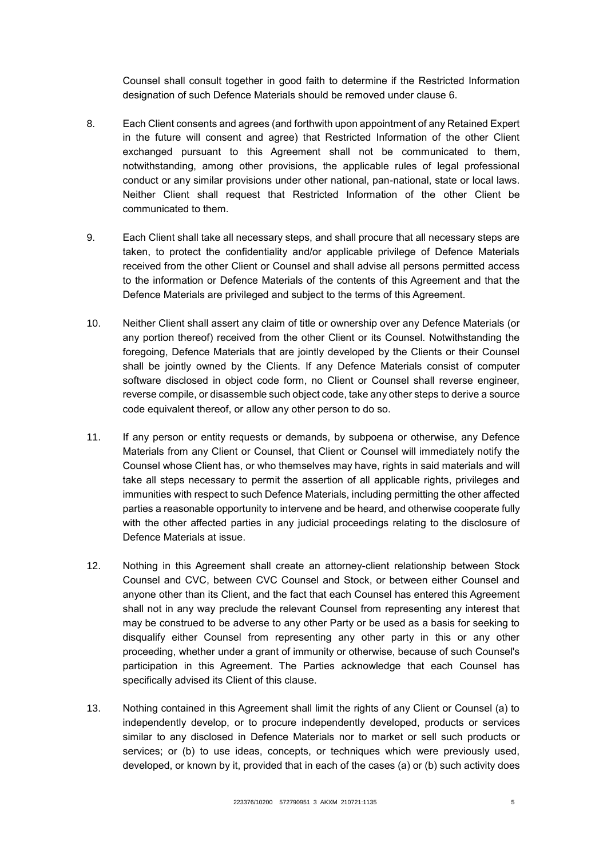Counsel shall consult together in good faith to determine if the Restricted Information designation of such Defence Materials should be removed under clause 6.

- 8. Each Client consents and agrees (and forthwith upon appointment of any Retained Expert in the future will consent and agree) that Restricted Information of the other Client exchanged pursuant to this Agreement shall not be communicated to them, notwithstanding, among other provisions, the applicable rules of legal professional conduct or any similar provisions under other national, pan-national, state or local laws. Neither Client shall request that Restricted Information of the other Client be communicated to them.
- 9. Each Client shall take all necessary steps, and shall procure that all necessary steps are taken, to protect the confidentiality and/or applicable privilege of Defence Materials received from the other Client or Counsel and shall advise all persons permitted access to the information or Defence Materials of the contents of this Agreement and that the Defence Materials are privileged and subject to the terms of this Agreement.
- 10. Neither Client shall assert any claim of title or ownership over any Defence Materials (or any portion thereof) received from the other Client or its Counsel. Notwithstanding the foregoing, Defence Materials that are jointly developed by the Clients or their Counsel shall be jointly owned by the Clients. If any Defence Materials consist of computer software disclosed in object code form, no Client or Counsel shall reverse engineer, reverse compile, or disassemble such object code, take any other steps to derive a source code equivalent thereof, or allow any other person to do so.
- 11. If any person or entity requests or demands, by subpoena or otherwise, any Defence Materials from any Client or Counsel, that Client or Counsel will immediately notify the Counsel whose Client has, or who themselves may have, rights in said materials and will take all steps necessary to permit the assertion of all applicable rights, privileges and immunities with respect to such Defence Materials, including permitting the other affected parties a reasonable opportunity to intervene and be heard, and otherwise cooperate fully with the other affected parties in any judicial proceedings relating to the disclosure of Defence Materials at issue.
- 12. Nothing in this Agreement shall create an attorney-client relationship between Stock Counsel and CVC, between CVC Counsel and Stock, or between either Counsel and anyone other than its Client, and the fact that each Counsel has entered this Agreement shall not in any way preclude the relevant Counsel from representing any interest that may be construed to be adverse to any other Party or be used as a basis for seeking to disqualify either Counsel from representing any other party in this or any other proceeding, whether under a grant of immunity or otherwise, because of such Counsel's participation in this Agreement. The Parties acknowledge that each Counsel has specifically advised its Client of this clause.
- 13. Nothing contained in this Agreement shall limit the rights of any Client or Counsel (a) to independently develop, or to procure independently developed, products or services similar to any disclosed in Defence Materials nor to market or sell such products or services; or (b) to use ideas, concepts, or techniques which were previously used, developed, or known by it, provided that in each of the cases (a) or (b) such activity does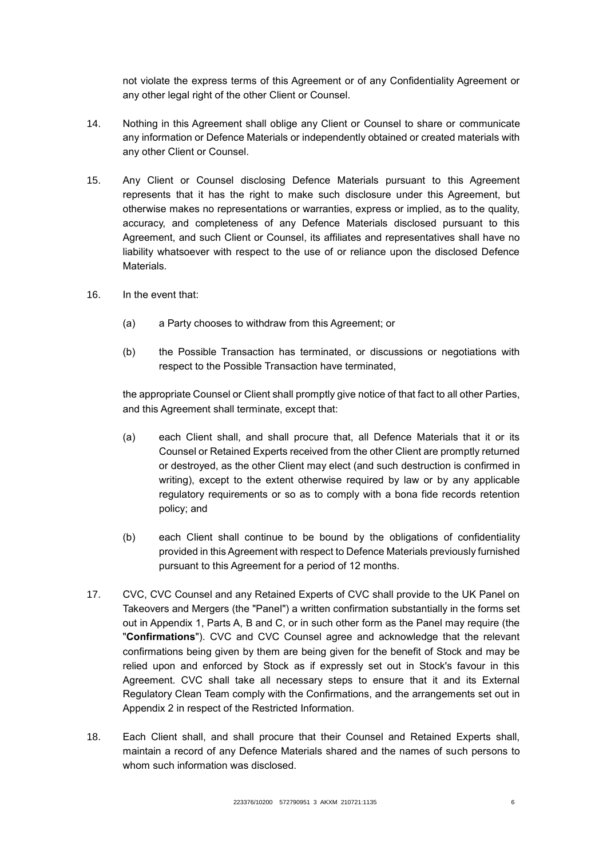not violate the express terms of this Agreement or of any Confidentiality Agreement or any other legal right of the other Client or Counsel.

- 14. Nothing in this Agreement shall oblige any Client or Counsel to share or communicate any information or Defence Materials or independently obtained or created materials with any other Client or Counsel.
- 15. Any Client or Counsel disclosing Defence Materials pursuant to this Agreement represents that it has the right to make such disclosure under this Agreement, but otherwise makes no representations or warranties, express or implied, as to the quality, accuracy, and completeness of any Defence Materials disclosed pursuant to this Agreement, and such Client or Counsel, its affiliates and representatives shall have no liability whatsoever with respect to the use of or reliance upon the disclosed Defence **Materials**
- 16. In the event that:
	- (a) a Party chooses to withdraw from this Agreement; or
	- (b) the Possible Transaction has terminated, or discussions or negotiations with respect to the Possible Transaction have terminated,

the appropriate Counsel or Client shall promptly give notice of that fact to all other Parties, and this Agreement shall terminate, except that:

- (a) each Client shall, and shall procure that, all Defence Materials that it or its Counsel or Retained Experts received from the other Client are promptly returned or destroyed, as the other Client may elect (and such destruction is confirmed in writing), except to the extent otherwise required by law or by any applicable regulatory requirements or so as to comply with a bona fide records retention policy; and
- (b) each Client shall continue to be bound by the obligations of confidentiality provided in this Agreement with respect to Defence Materials previously furnished pursuant to this Agreement for a period of 12 months.
- 17. CVC, CVC Counsel and any Retained Experts of CVC shall provide to the UK Panel on Takeovers and Mergers (the "Panel") a written confirmation substantially in the forms set out in Appendix 1, Parts A, B and C, or in such other form as the Panel may require (the "**Confirmations**"). CVC and CVC Counsel agree and acknowledge that the relevant confirmations being given by them are being given for the benefit of Stock and may be relied upon and enforced by Stock as if expressly set out in Stock's favour in this Agreement. CVC shall take all necessary steps to ensure that it and its External Regulatory Clean Team comply with the Confirmations, and the arrangements set out in Appendix 2 in respect of the Restricted Information.
- 18. Each Client shall, and shall procure that their Counsel and Retained Experts shall, maintain a record of any Defence Materials shared and the names of such persons to whom such information was disclosed.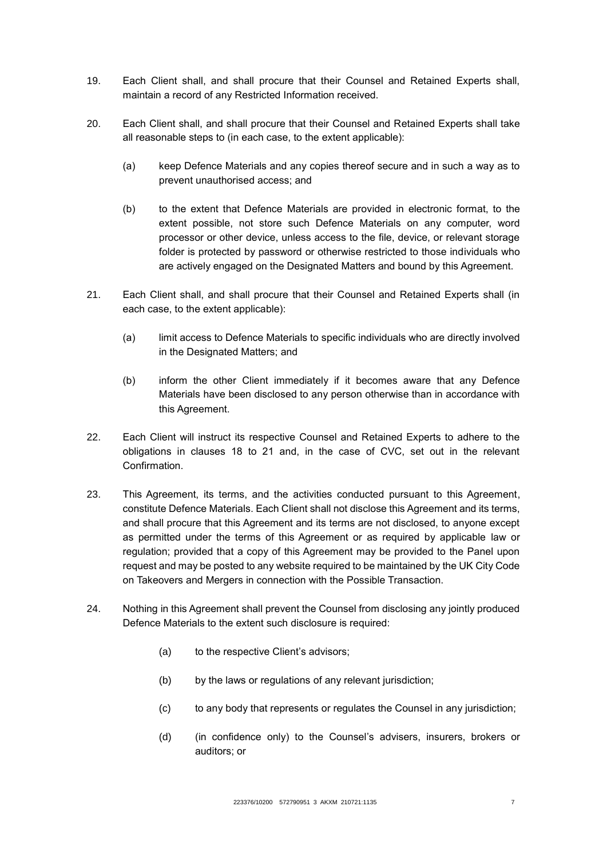- 19. Each Client shall, and shall procure that their Counsel and Retained Experts shall, maintain a record of any Restricted Information received.
- 20. Each Client shall, and shall procure that their Counsel and Retained Experts shall take all reasonable steps to (in each case, to the extent applicable):
	- (a) keep Defence Materials and any copies thereof secure and in such a way as to prevent unauthorised access; and
	- (b) to the extent that Defence Materials are provided in electronic format, to the extent possible, not store such Defence Materials on any computer, word processor or other device, unless access to the file, device, or relevant storage folder is protected by password or otherwise restricted to those individuals who are actively engaged on the Designated Matters and bound by this Agreement.
- 21. Each Client shall, and shall procure that their Counsel and Retained Experts shall (in each case, to the extent applicable):
	- (a) limit access to Defence Materials to specific individuals who are directly involved in the Designated Matters; and
	- (b) inform the other Client immediately if it becomes aware that any Defence Materials have been disclosed to any person otherwise than in accordance with this Agreement.
- 22. Each Client will instruct its respective Counsel and Retained Experts to adhere to the obligations in clauses 18 to 21 and, in the case of CVC, set out in the relevant Confirmation.
- 23. This Agreement, its terms, and the activities conducted pursuant to this Agreement, constitute Defence Materials. Each Client shall not disclose this Agreement and its terms, and shall procure that this Agreement and its terms are not disclosed, to anyone except as permitted under the terms of this Agreement or as required by applicable law or regulation; provided that a copy of this Agreement may be provided to the Panel upon request and may be posted to any website required to be maintained by the UK City Code on Takeovers and Mergers in connection with the Possible Transaction.
- 24. Nothing in this Agreement shall prevent the Counsel from disclosing any jointly produced Defence Materials to the extent such disclosure is required:
	- (a) to the respective Client's advisors;
	- (b) by the laws or regulations of any relevant jurisdiction;
	- (c) to any body that represents or regulates the Counsel in any jurisdiction;
	- (d) (in confidence only) to the Counsel's advisers, insurers, brokers or auditors; or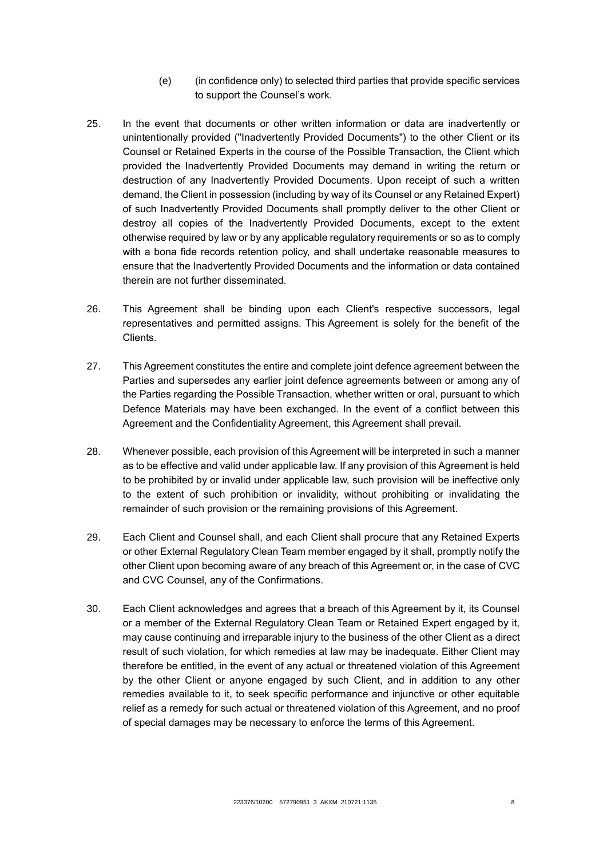- (e) (in confidence only) to selected third parties that provide specific services to support the Counsel's work.
- 25. In the event that documents or other written information or data are inadvertently or unintentionally provided ("Inadvertently Provided Documents") to the other Client or its Counsel or Retained Experts in the course of the Possible Transaction, the Client which provided the Inadvertently Provided Documents may demand in writing the return or destruction of any Inadvertently Provided Documents. Upon receipt of such a written demand, the Client in possession (including by way of its Counsel or any Retained Expert) of such Inadvertently Provided Documents shall promptly deliver to the other Client or destroy all copies of the Inadvertently Provided Documents, except to the extent otherwise required by law or by any applicable regulatory requirements or so as to comply with a bona fide records retention policy, and shall undertake reasonable measures to ensure that the Inadvertently Provided Documents and the information or data contained therein are not further disseminated.
- 26. This Agreement shall be binding upon each Client's respective successors, legal representatives and permitted assigns. This Agreement is solely for the benefit of the Clients.
- 27. This Agreement constitutes the entire and complete joint defence agreement between the Parties and supersedes any earlier joint defence agreements between or among any of the Parties regarding the Possible Transaction, whether written or oral, pursuant to which Defence Materials may have been exchanged. In the event of a conflict between this Agreement and the Confidentiality Agreement, this Agreement shall prevail.
- 28. Whenever possible, each provision of this Agreement will be interpreted in such a manner as to be effective and valid under applicable law. If any provision of this Agreement is held to be prohibited by or invalid under applicable law, such provision will be ineffective only to the extent of such prohibition or invalidity, without prohibiting or invalidating the remainder of such provision or the remaining provisions of this Agreement.
- 29. Each Client and Counsel shall, and each Client shall procure that any Retained Experts or other External Regulatory Clean Team member engaged by it shall, promptly notify the other Client upon becoming aware of any breach of this Agreement or, in the case of CVC and CVC Counsel, any of the Confirmations.
- 30. Each Client acknowledges and agrees that a breach of this Agreement by it, its Counsel or a member of the External Regulatory Clean Team or Retained Expert engaged by it, may cause continuing and irreparable injury to the business of the other Client as a direct result of such violation, for which remedies at law may be inadequate. Either Client may therefore be entitled, in the event of any actual or threatened violation of this Agreement by the other Client or anyone engaged by such Client, and in addition to any other remedies available to it, to seek specific performance and injunctive or other equitable relief as a remedy for such actual or threatened violation of this Agreement, and no proof of special damages may be necessary to enforce the terms of this Agreement.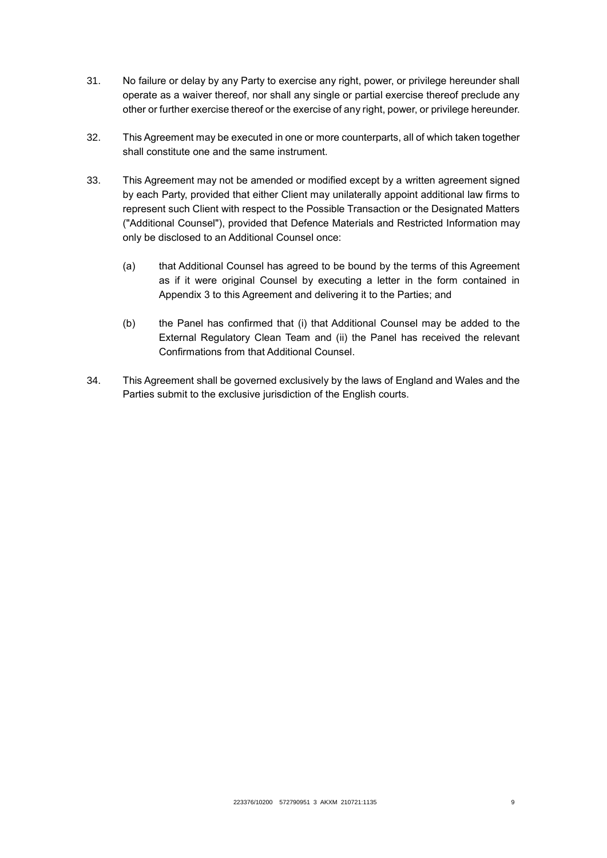- 31. No failure or delay by any Party to exercise any right, power, or privilege hereunder shall operate as a waiver thereof, nor shall any single or partial exercise thereof preclude any other or further exercise thereof or the exercise of any right, power, or privilege hereunder.
- 32. This Agreement may be executed in one or more counterparts, all of which taken together shall constitute one and the same instrument.
- 33. This Agreement may not be amended or modified except by a written agreement signed by each Party, provided that either Client may unilaterally appoint additional law firms to represent such Client with respect to the Possible Transaction or the Designated Matters ("Additional Counsel"), provided that Defence Materials and Restricted Information may only be disclosed to an Additional Counsel once:
	- (a) that Additional Counsel has agreed to be bound by the terms of this Agreement as if it were original Counsel by executing a letter in the form contained in Appendix 3 to this Agreement and delivering it to the Parties; and
	- (b) the Panel has confirmed that (i) that Additional Counsel may be added to the External Regulatory Clean Team and (ii) the Panel has received the relevant Confirmations from that Additional Counsel.
- 34. This Agreement shall be governed exclusively by the laws of England and Wales and the Parties submit to the exclusive jurisdiction of the English courts.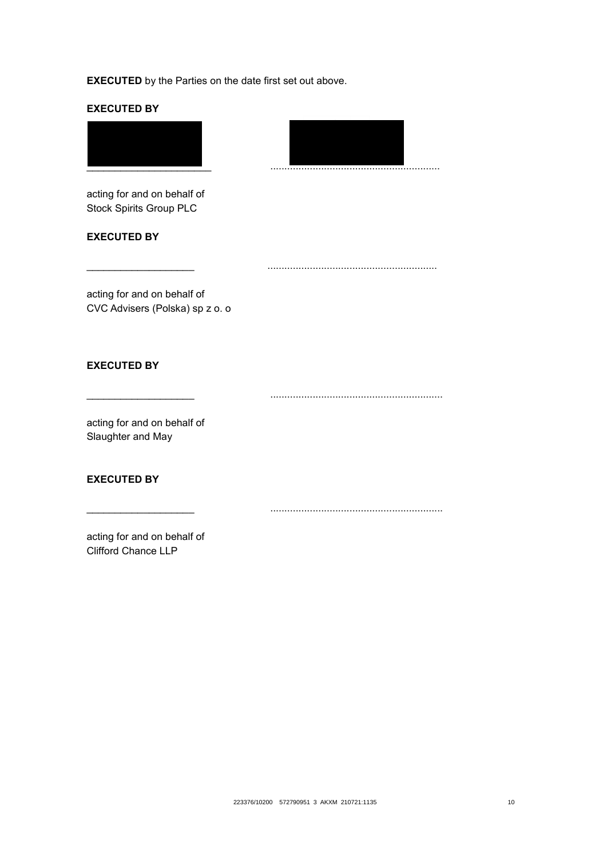**EXECUTED BY**





acting for and on behalf of Stock Spirits Group PLC

**EXECUTED BY**

acting for and on behalf of CVC Advisers (Polska) sp z o. o

**EXECUTED BY**

\_\_\_\_\_\_\_\_\_\_\_\_\_\_\_\_\_\_\_ .............................................................

\_\_\_\_\_\_\_\_\_\_\_\_\_\_\_\_\_\_\_ .............................................................

\_\_\_\_\_\_\_\_\_\_\_\_\_\_\_\_\_\_\_ ............................................................

acting for and on behalf of Slaughter and May

## **EXECUTED BY**

acting for and on behalf of Clifford Chance LLP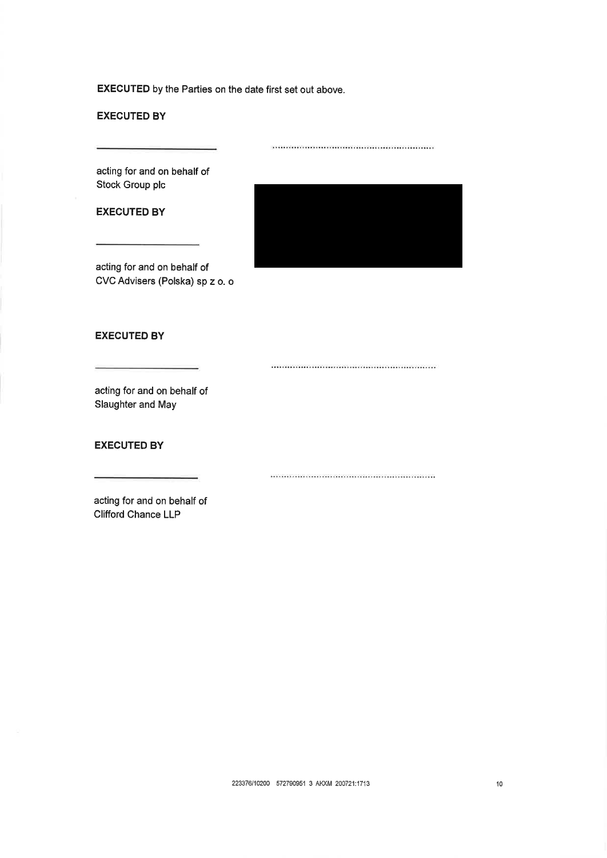**EXECUTED BY** 

acting for and on behalf of Stock Group plc

**EXECUTED BY** 

acting for and on behalf of CVC Advisers (Polska) sp z o. o



#### **EXECUTED BY**

 $\label{eq:1} \begin{minipage}{0.9\linewidth} \begin{minipage}{0.9\linewidth} \begin{minipage}{0.9\linewidth} \begin{minipage}{0.9\linewidth} \end{minipage} \begin{minipage}{0.9\linewidth} \begin{minipage}{0.9\linewidth} \end{minipage} \begin{minipage}{0.9\linewidth} \begin{minipage}{0.9\linewidth} \end{minipage} \begin{minipage}{0.9\linewidth} \end{minipage} \begin{minipage}{0.9\linewidth} \end{minipage} \begin{minipage}{0.9\linewidth} \end{minipage} \begin{minipage}{0.9\linewidth} \begin{minipage}{0.9\linewidth} \end$ 

acting for and on behalf of Slaughter and May

#### **EXECUTED BY**

acting for and on behalf of **Clifford Chance LLP**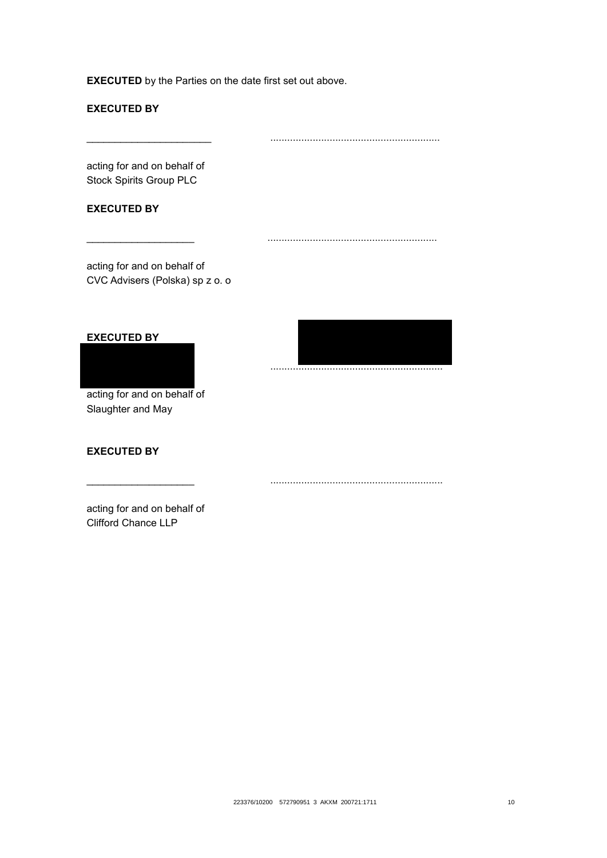# **EXECUTED BY**

\_\_\_\_\_\_\_\_\_\_\_\_\_\_\_\_\_\_\_\_\_\_ ............................................................

\_\_\_\_\_\_\_\_\_\_\_\_\_\_\_\_\_\_\_ ............................................................

acting for and on behalf of Stock Spirits Group PLC

#### **EXECUTED BY**

acting for and on behalf of CVC Advisers (Polska) sp z o. o

#### **EXECUTED BY**

acting for and on behalf of Slaughter and May

# **EXECUTED BY**

\_\_\_\_\_\_\_\_\_\_\_\_\_\_\_\_\_\_\_ .............................................................

\_\_\_\_\_\_\_\_\_\_\_\_\_\_\_\_\_\_\_ .............................................................

acting for and on behalf of Clifford Chance LLP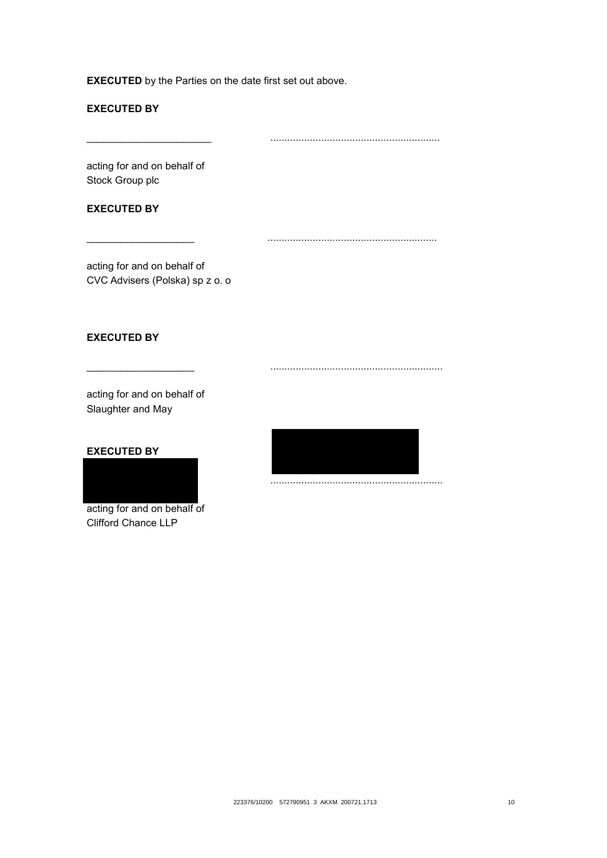# **EXECUTED BY**

\_\_\_\_\_\_\_\_\_\_\_\_\_\_\_\_\_\_\_\_\_\_ ............................................................

\_\_\_\_\_\_\_\_\_\_\_\_\_\_\_\_\_\_\_ ............................................................

acting for and on behalf of Stock Group plc

#### **EXECUTED BY**

acting for and on behalf of CVC Advisers (Polska) sp z o. o

#### **EXECUTED BY**

acting for and on behalf of Slaughter and May

#### **EXECUTED BY**



Clifford Chance LLP



\_\_\_\_\_\_\_\_\_\_\_\_\_\_\_\_\_\_\_ .............................................................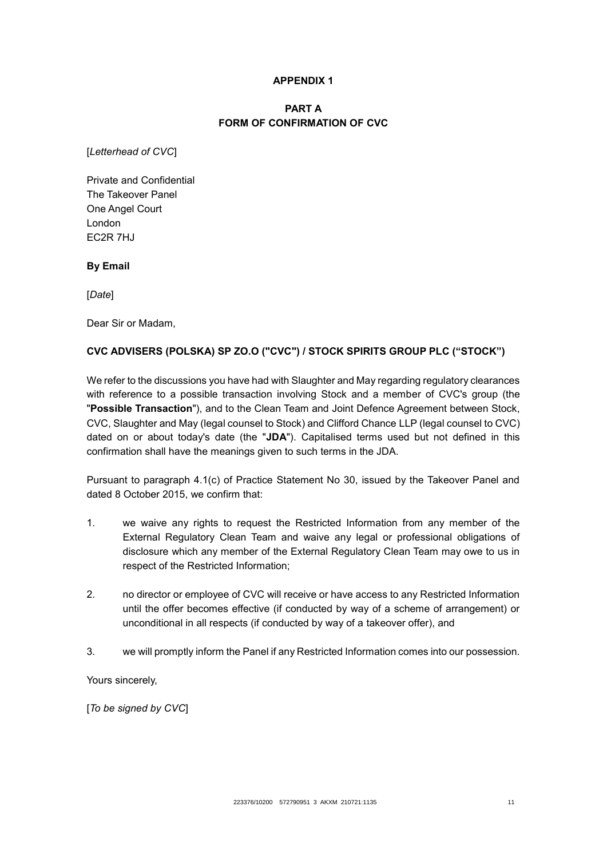#### **APPENDIX 1**

# **PART A FORM OF CONFIRMATION OF CVC**

[*Letterhead of CVC*]

Private and Confidential The Takeover Panel One Angel Court London EC2R 7HJ

**By Email**

[*Date*]

Dear Sir or Madam,

## **CVC ADVISERS (POLSKA) SP ZO.O ("CVC") / STOCK SPIRITS GROUP PLC ("STOCK")**

We refer to the discussions you have had with Slaughter and May regarding regulatory clearances with reference to a possible transaction involving Stock and a member of CVC's group (the "**Possible Transaction**"), and to the Clean Team and Joint Defence Agreement between Stock, CVC, Slaughter and May (legal counsel to Stock) and Clifford Chance LLP (legal counsel to CVC) dated on or about today's date (the "**JDA**"). Capitalised terms used but not defined in this confirmation shall have the meanings given to such terms in the JDA.

Pursuant to paragraph 4.1(c) of Practice Statement No 30, issued by the Takeover Panel and dated 8 October 2015, we confirm that:

- 1. we waive any rights to request the Restricted Information from any member of the External Regulatory Clean Team and waive any legal or professional obligations of disclosure which any member of the External Regulatory Clean Team may owe to us in respect of the Restricted Information;
- 2. no director or employee of CVC will receive or have access to any Restricted Information until the offer becomes effective (if conducted by way of a scheme of arrangement) or unconditional in all respects (if conducted by way of a takeover offer), and
- 3. we will promptly inform the Panel if any Restricted Information comes into our possession.

Yours sincerely,

[*To be signed by CVC*]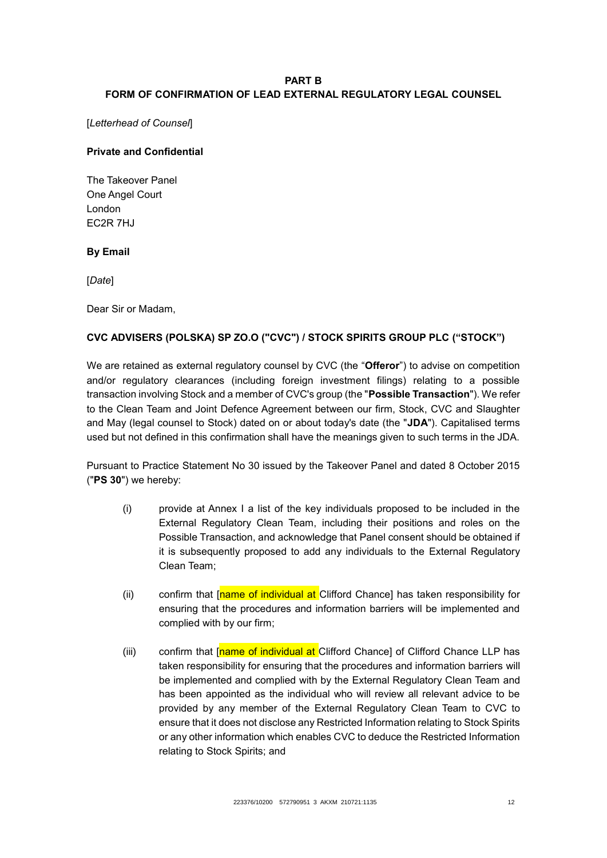## **PART B FORM OF CONFIRMATION OF LEAD EXTERNAL REGULATORY LEGAL COUNSEL**

[*Letterhead of Counsel*]

## **Private and Confidential**

The Takeover Panel One Angel Court London EC2R 7HJ

## **By Email**

[*Date*]

Dear Sir or Madam,

## **CVC ADVISERS (POLSKA) SP ZO.O ("CVC") / STOCK SPIRITS GROUP PLC ("STOCK")**

We are retained as external regulatory counsel by CVC (the "**Offeror**") to advise on competition and/or regulatory clearances (including foreign investment filings) relating to a possible transaction involving Stock and a member of CVC's group (the "**Possible Transaction**"). We refer to the Clean Team and Joint Defence Agreement between our firm, Stock, CVC and Slaughter and May (legal counsel to Stock) dated on or about today's date (the "**JDA**"). Capitalised terms used but not defined in this confirmation shall have the meanings given to such terms in the JDA.

Pursuant to Practice Statement No 30 issued by the Takeover Panel and dated 8 October 2015 ("**PS 30**") we hereby:

- (i) provide at Annex I a list of the key individuals proposed to be included in the External Regulatory Clean Team, including their positions and roles on the Possible Transaction, and acknowledge that Panel consent should be obtained if it is subsequently proposed to add any individuals to the External Regulatory Clean Team;
- (ii) confirm that [name of individual at Clifford Chance] has taken responsibility for ensuring that the procedures and information barriers will be implemented and complied with by our firm;
- (iii) confirm that [name of individual at Clifford Chance] of Clifford Chance LLP has taken responsibility for ensuring that the procedures and information barriers will be implemented and complied with by the External Regulatory Clean Team and has been appointed as the individual who will review all relevant advice to be provided by any member of the External Regulatory Clean Team to CVC to ensure that it does not disclose any Restricted Information relating to Stock Spirits or any other information which enables CVC to deduce the Restricted Information relating to Stock Spirits; and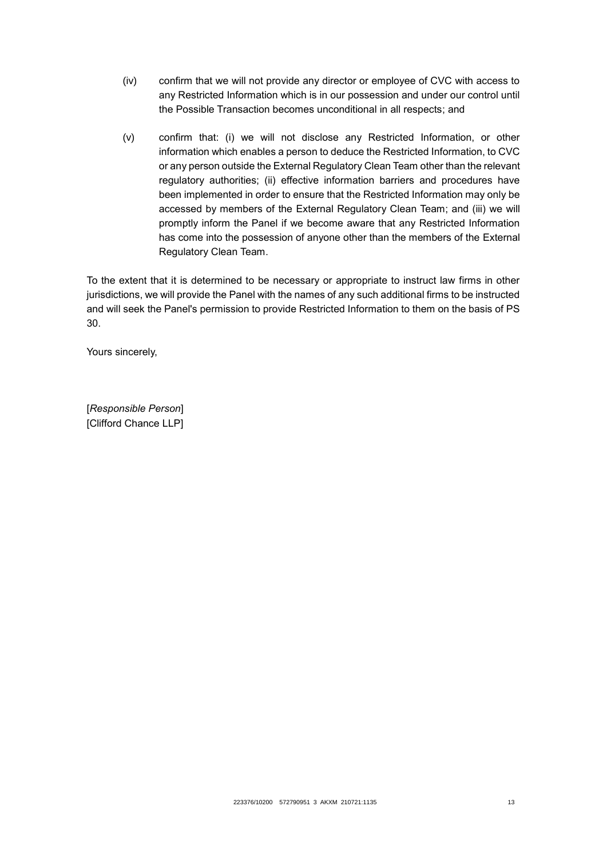- (iv) confirm that we will not provide any director or employee of CVC with access to any Restricted Information which is in our possession and under our control until the Possible Transaction becomes unconditional in all respects; and
- (v) confirm that: (i) we will not disclose any Restricted Information, or other information which enables a person to deduce the Restricted Information, to CVC or any person outside the External Regulatory Clean Team other than the relevant regulatory authorities; (ii) effective information barriers and procedures have been implemented in order to ensure that the Restricted Information may only be accessed by members of the External Regulatory Clean Team; and (iii) we will promptly inform the Panel if we become aware that any Restricted Information has come into the possession of anyone other than the members of the External Regulatory Clean Team.

To the extent that it is determined to be necessary or appropriate to instruct law firms in other jurisdictions, we will provide the Panel with the names of any such additional firms to be instructed and will seek the Panel's permission to provide Restricted Information to them on the basis of PS 30.

Yours sincerely,

[*Responsible Person*] [Clifford Chance LLP]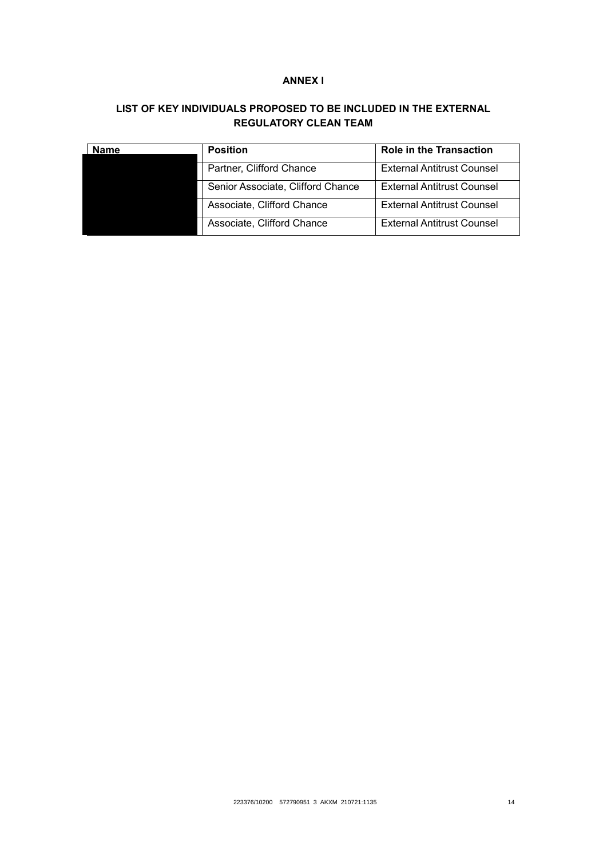## **ANNEX I**

# **LIST OF KEY INDIVIDUALS PROPOSED TO BE INCLUDED IN THE EXTERNAL REGULATORY CLEAN TEAM**

| Name | <b>Position</b>                   | <b>Role in the Transaction</b>    |
|------|-----------------------------------|-----------------------------------|
|      | Partner, Clifford Chance          | <b>External Antitrust Counsel</b> |
|      | Senior Associate, Clifford Chance | <b>External Antitrust Counsel</b> |
|      | Associate, Clifford Chance        | <b>External Antitrust Counsel</b> |
|      | Associate, Clifford Chance        | <b>External Antitrust Counsel</b> |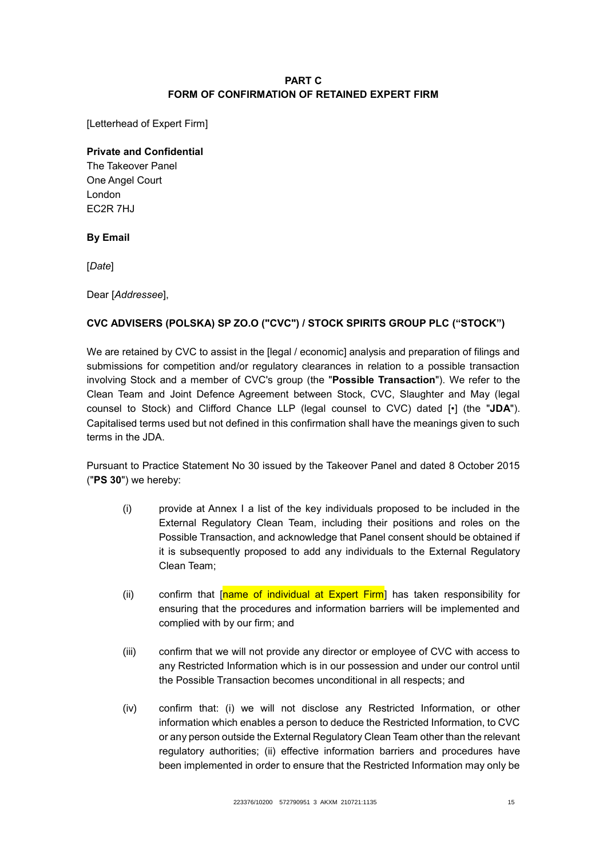# **PART C FORM OF CONFIRMATION OF RETAINED EXPERT FIRM**

[Letterhead of Expert Firm]

## **Private and Confidential**

The Takeover Panel One Angel Court London EC<sub>2R</sub> 7HJ

## **By Email**

[*Date*]

Dear [*Addressee*],

# **CVC ADVISERS (POLSKA) SP ZO.O ("CVC") / STOCK SPIRITS GROUP PLC ("STOCK")**

We are retained by CVC to assist in the [legal / economic] analysis and preparation of filings and submissions for competition and/or regulatory clearances in relation to a possible transaction involving Stock and a member of CVC's group (the "**Possible Transaction**"). We refer to the Clean Team and Joint Defence Agreement between Stock, CVC, Slaughter and May (legal counsel to Stock) and Clifford Chance LLP (legal counsel to CVC) dated [•] (the "**JDA**"). Capitalised terms used but not defined in this confirmation shall have the meanings given to such terms in the JDA.

Pursuant to Practice Statement No 30 issued by the Takeover Panel and dated 8 October 2015 ("**PS 30**") we hereby:

- (i) provide at Annex I a list of the key individuals proposed to be included in the External Regulatory Clean Team, including their positions and roles on the Possible Transaction, and acknowledge that Panel consent should be obtained if it is subsequently proposed to add any individuals to the External Regulatory Clean Team;
- (ii) confirm that  $\sqrt{\frac{name of individual}{\text{at}}}}$  Fing  $\sqrt{\frac{sim}{\text{at}}}$  has taken responsibility for ensuring that the procedures and information barriers will be implemented and complied with by our firm; and
- (iii) confirm that we will not provide any director or employee of CVC with access to any Restricted Information which is in our possession and under our control until the Possible Transaction becomes unconditional in all respects; and
- (iv) confirm that: (i) we will not disclose any Restricted Information, or other information which enables a person to deduce the Restricted Information, to CVC or any person outside the External Regulatory Clean Team other than the relevant regulatory authorities; (ii) effective information barriers and procedures have been implemented in order to ensure that the Restricted Information may only be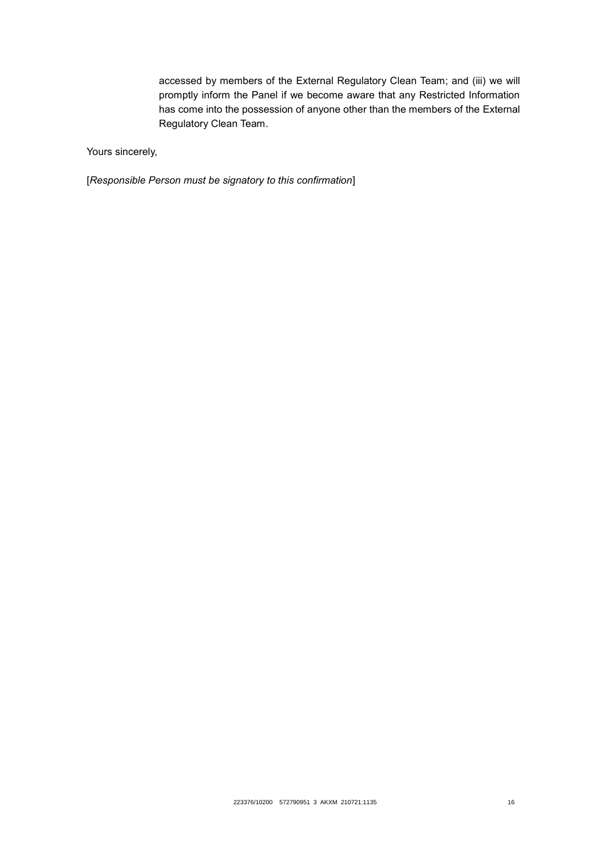accessed by members of the External Regulatory Clean Team; and (iii) we will promptly inform the Panel if we become aware that any Restricted Information has come into the possession of anyone other than the members of the External Regulatory Clean Team.

Yours sincerely,

[*Responsible Person must be signatory to this confirmation*]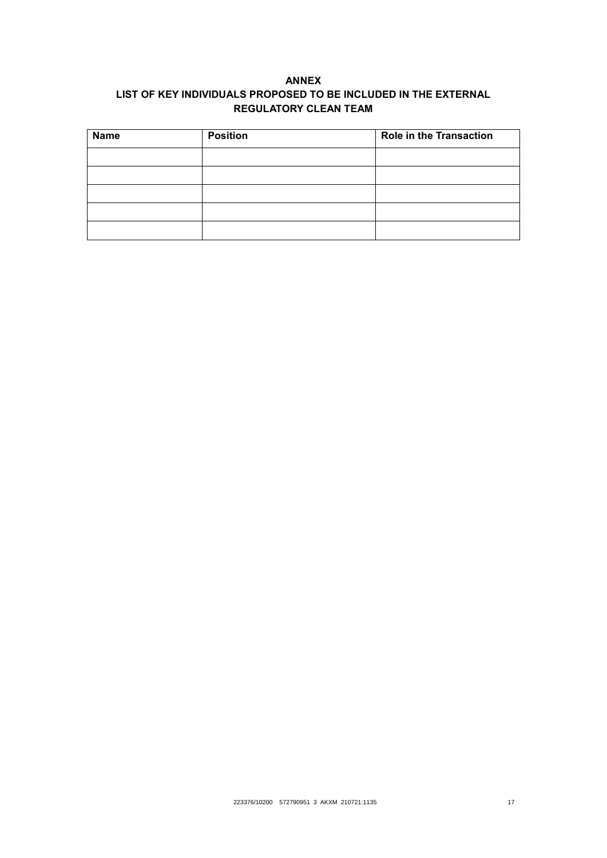# **ANNEX LIST OF KEY INDIVIDUALS PROPOSED TO BE INCLUDED IN THE EXTERNAL REGULATORY CLEAN TEAM**

| <b>Name</b> | <b>Position</b> | <b>Role in the Transaction</b> |
|-------------|-----------------|--------------------------------|
|             |                 |                                |
|             |                 |                                |
|             |                 |                                |
|             |                 |                                |
|             |                 |                                |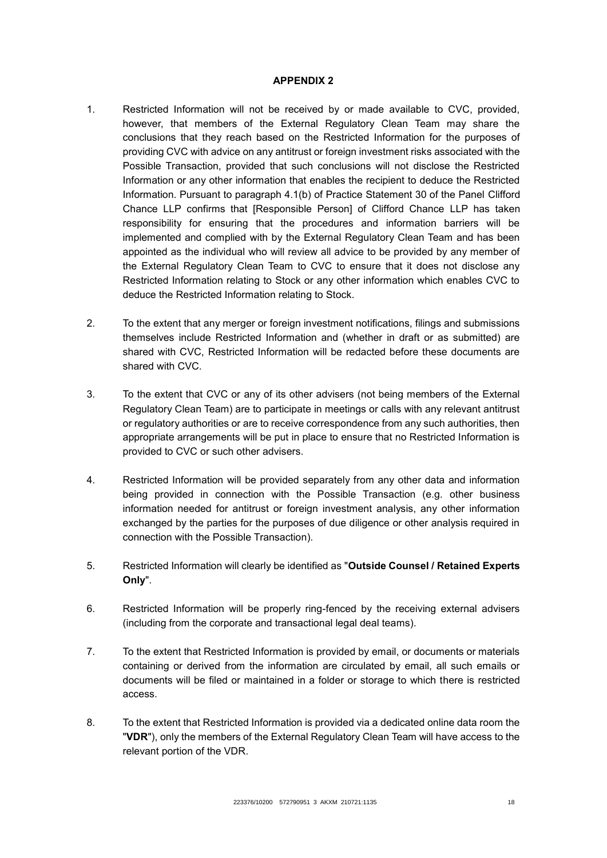#### **APPENDIX 2**

- 1. Restricted Information will not be received by or made available to CVC, provided, however, that members of the External Regulatory Clean Team may share the conclusions that they reach based on the Restricted Information for the purposes of providing CVC with advice on any antitrust or foreign investment risks associated with the Possible Transaction, provided that such conclusions will not disclose the Restricted Information or any other information that enables the recipient to deduce the Restricted Information. Pursuant to paragraph 4.1(b) of Practice Statement 30 of the Panel Clifford Chance LLP confirms that [Responsible Person] of Clifford Chance LLP has taken responsibility for ensuring that the procedures and information barriers will be implemented and complied with by the External Regulatory Clean Team and has been appointed as the individual who will review all advice to be provided by any member of the External Regulatory Clean Team to CVC to ensure that it does not disclose any Restricted Information relating to Stock or any other information which enables CVC to deduce the Restricted Information relating to Stock.
- 2. To the extent that any merger or foreign investment notifications, filings and submissions themselves include Restricted Information and (whether in draft or as submitted) are shared with CVC, Restricted Information will be redacted before these documents are shared with CVC.
- 3. To the extent that CVC or any of its other advisers (not being members of the External Regulatory Clean Team) are to participate in meetings or calls with any relevant antitrust or regulatory authorities or are to receive correspondence from any such authorities, then appropriate arrangements will be put in place to ensure that no Restricted Information is provided to CVC or such other advisers.
- 4. Restricted Information will be provided separately from any other data and information being provided in connection with the Possible Transaction (e.g. other business information needed for antitrust or foreign investment analysis, any other information exchanged by the parties for the purposes of due diligence or other analysis required in connection with the Possible Transaction).
- 5. Restricted Information will clearly be identified as "**Outside Counsel / Retained Experts Only**".
- 6. Restricted Information will be properly ring-fenced by the receiving external advisers (including from the corporate and transactional legal deal teams).
- 7. To the extent that Restricted Information is provided by email, or documents or materials containing or derived from the information are circulated by email, all such emails or documents will be filed or maintained in a folder or storage to which there is restricted access.
- 8. To the extent that Restricted Information is provided via a dedicated online data room the "**VDR**"), only the members of the External Regulatory Clean Team will have access to the relevant portion of the VDR.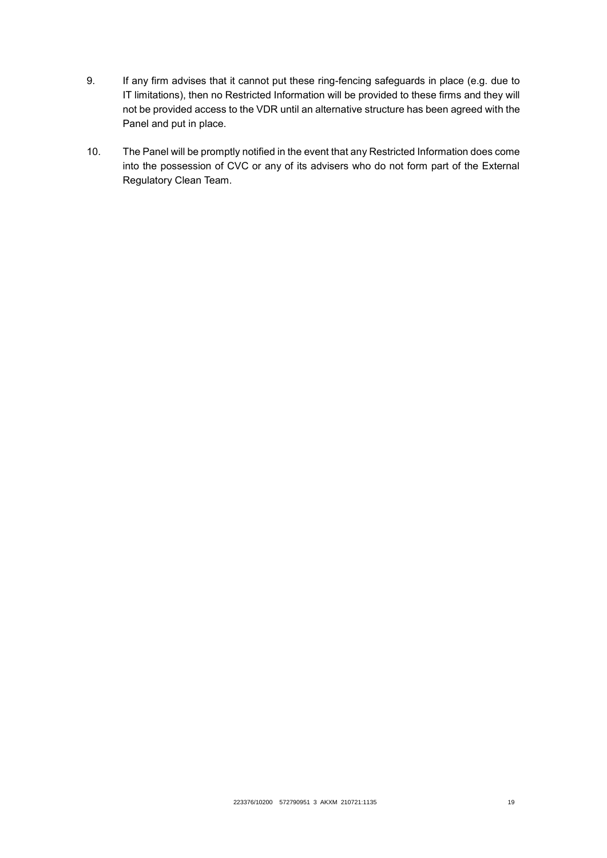- 9. If any firm advises that it cannot put these ring-fencing safeguards in place (e.g. due to IT limitations), then no Restricted Information will be provided to these firms and they will not be provided access to the VDR until an alternative structure has been agreed with the Panel and put in place.
- 10. The Panel will be promptly notified in the event that any Restricted Information does come into the possession of CVC or any of its advisers who do not form part of the External Regulatory Clean Team.